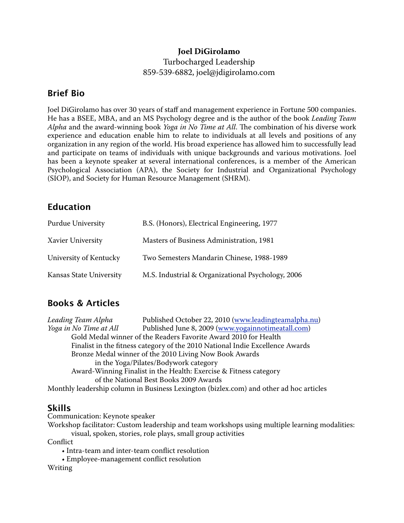#### **Joel DiGirolamo**

### Turbocharged Leadership 859-539-6882, joel@jdigirolamo.com

### **Brief Bio**

Joel DiGirolamo has over 30 years of staff and management experience in Fortune 500 companies. He has a BSEE, MBA, and an MS Psychology degree and is the author of the book *Leading Team Alpha* and the award-winning book *Yoga in No Time at All*. The combination of his diverse work experience and education enable him to relate to individuals at all levels and positions of any organization in any region of the world. His broad experience has allowed him to successfully lead and participate on teams of individuals with unique backgrounds and various motivations. Joel has been a keynote speaker at several international conferences, is a member of the American Psychological Association (APA), the Society for Industrial and Organizational Psychology (SIOP), and Society for Human Resource Management (SHRM).

## **Education**

| <b>Purdue University</b> | B.S. (Honors), Electrical Engineering, 1977       |
|--------------------------|---------------------------------------------------|
| <b>Xavier University</b> | Masters of Business Administration, 1981          |
| University of Kentucky   | Two Semesters Mandarin Chinese, 1988-1989         |
| Kansas State University  | M.S. Industrial & Organizational Psychology, 2006 |

# **Books & Articles**

*Leading Team Alpha* Published October 22, 2010 [\(www.leadingteamalpha.nu](http://www.leadingteamalpha.nu)) *Yoga in No Time at All* Published June 8, 2009 ([www.yogainnotimeatall.com](http://www.yogainnotimeatall.com)) Gold Medal winner of the Readers Favorite Award 2010 for Health Finalist in the fitness category of the 2010 National Indie Excellence Awards Bronze Medal winner of the 2010 Living Now Book Awards in the Yoga/Pilates/Bodywork category Award-Winning Finalist in the Health: Exercise & Fitness category of the National Best Books 2009 Awards Monthly leadership column in Business Lexington (bizlex.com) and other ad hoc articles

### **Skills**

Communication: Keynote speaker

Workshop facilitator: Custom leadership and team workshops using multiple learning modalities: visual, spoken, stories, role plays, small group activities

**Conflict** 

- Intra-team and inter-team conflict resolution
- Employee-management conflict resolution

Writing